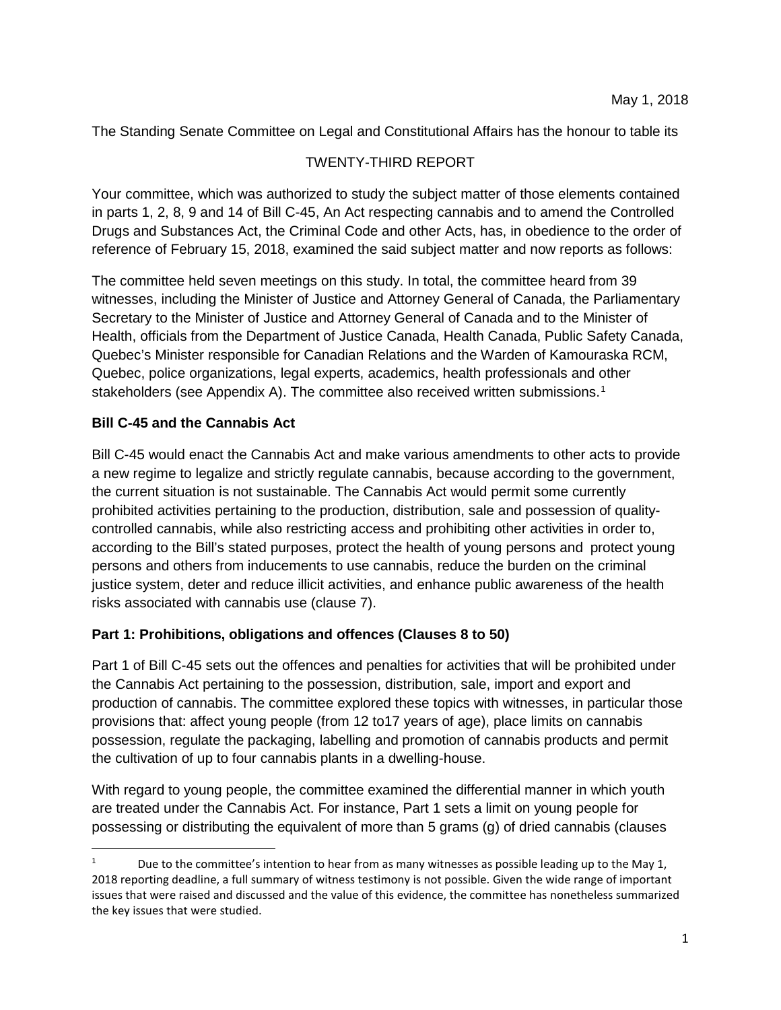The Standing Senate Committee on Legal and Constitutional Affairs has the honour to table its

## TWENTY-THIRD REPORT

Your committee, which was authorized to study the subject matter of those elements contained in parts 1, 2, 8, 9 and 14 of Bill C-45, An Act respecting cannabis and to amend the Controlled Drugs and Substances Act, the Criminal Code and other Acts, has, in obedience to the order of reference of February 15, 2018, examined the said subject matter and now reports as follows:

The committee held seven meetings on this study. In total, the committee heard from 39 witnesses, including the Minister of Justice and Attorney General of Canada, the Parliamentary Secretary to the Minister of Justice and Attorney General of Canada and to the Minister of Health, officials from the Department of Justice Canada, Health Canada, Public Safety Canada, Quebec's Minister responsible for Canadian Relations and the Warden of Kamouraska RCM, Quebec, police organizations, legal experts, academics, health professionals and other stakeholders (see Appendix A). The committee also received written submissions.<sup>[1](#page-0-0)</sup>

## **Bill C-45 and the Cannabis Act**

Bill C-45 would enact the Cannabis Act and make various amendments to other acts to provide a new regime to legalize and strictly regulate cannabis, because according to the government, the current situation is not sustainable. The Cannabis Act would permit some currently prohibited activities pertaining to the production, distribution, sale and possession of qualitycontrolled cannabis, while also restricting access and prohibiting other activities in order to, according to the Bill's stated purposes, protect the health of young persons and protect young persons and others from inducements to use cannabis, reduce the burden on the criminal justice system, deter and reduce illicit activities, and enhance public awareness of the health risks associated with cannabis use (clause 7).

## **Part 1: Prohibitions, obligations and offences (Clauses 8 to 50)**

Part 1 of Bill C-45 sets out the offences and penalties for activities that will be prohibited under the Cannabis Act pertaining to the possession, distribution, sale, import and export and production of cannabis. The committee explored these topics with witnesses, in particular those provisions that: affect young people (from 12 to17 years of age), place limits on cannabis possession, regulate the packaging, labelling and promotion of cannabis products and permit the cultivation of up to four cannabis plants in a dwelling-house.

With regard to young people, the committee examined the differential manner in which youth are treated under the Cannabis Act. For instance, Part 1 sets a limit on young people for possessing or distributing the equivalent of more than 5 grams (g) of dried cannabis (clauses

<span id="page-0-0"></span>Due to the committee's intention to hear from as many witnesses as possible leading up to the May 1, 2018 reporting deadline, a full summary of witness testimony is not possible. Given the wide range of important issues that were raised and discussed and the value of this evidence, the committee has nonetheless summarized the key issues that were studied.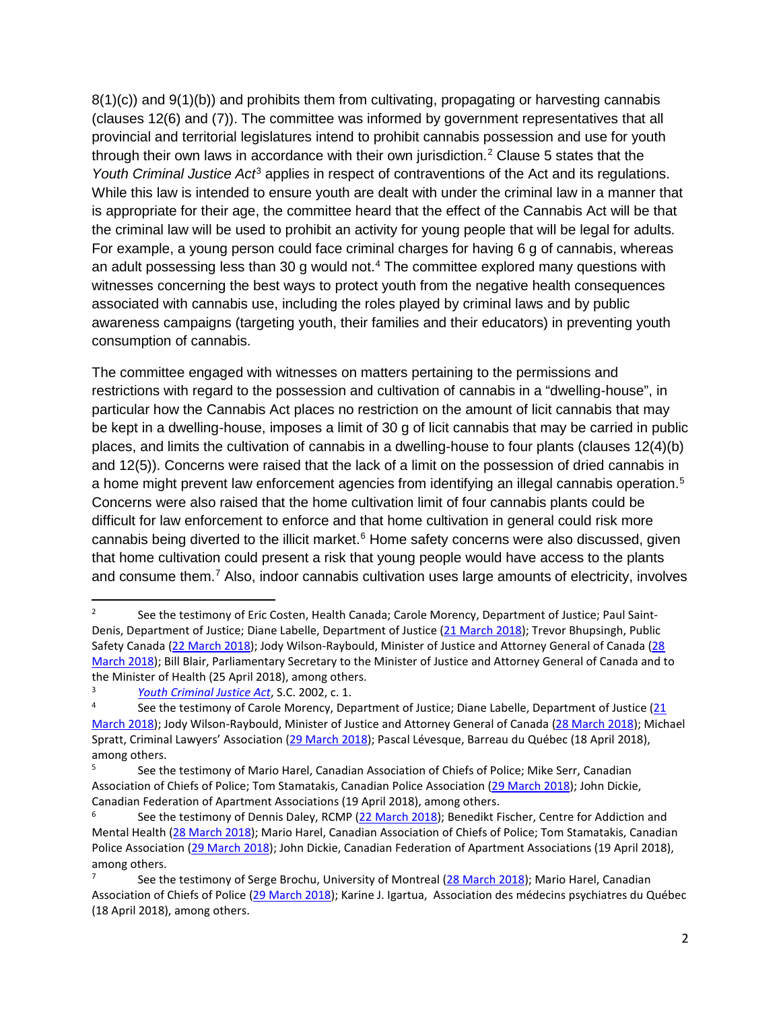$8(1)(c)$ ) and  $9(1)(b)$ ) and prohibits them from cultivating, propagating or harvesting cannabis (clauses 12(6) and (7)). The committee was informed by government representatives that all provincial and territorial legislatures intend to prohibit cannabis possession and use for youth through their own laws in accordance with their own jurisdiction.<sup>2</sup> Clause 5 states that the *Youth Criminal Justice Act*[3](#page-1-1) applies in respect of contraventions of the Act and its regulations. While this law is intended to ensure youth are dealt with under the criminal law in a manner that is appropriate for their age, the committee heard that the effect of the Cannabis Act will be that the criminal law will be used to prohibit an activity for young people that will be legal for adults. For example, a young person could face criminal charges for having 6 g of cannabis, whereas an adult possessing less than 30 g would not. [4](#page-1-2) The committee explored many questions with witnesses concerning the best ways to protect youth from the negative health consequences associated with cannabis use, including the roles played by criminal laws and by public awareness campaigns (targeting youth, their families and their educators) in preventing youth consumption of cannabis.

The committee engaged with witnesses on matters pertaining to the permissions and restrictions with regard to the possession and cultivation of cannabis in a "dwelling-house", in particular how the Cannabis Act places no restriction on the amount of licit cannabis that may be kept in a dwelling-house, imposes a limit of 30 g of licit cannabis that may be carried in public places, and limits the cultivation of cannabis in a dwelling-house to four plants (clauses 12(4)(b) and 12(5)). Concerns were raised that the lack of a limit on the possession of dried cannabis in a home might prevent law enforcement agencies from identifying an illegal cannabis operation.<sup>[5](#page-1-3)</sup> Concerns were also raised that the home cultivation limit of four cannabis plants could be difficult for law enforcement to enforce and that home cultivation in general could risk more cannabis being diverted to the illicit market. [6](#page-1-4) Home safety concerns were also discussed, given that home cultivation could present a risk that young people would have access to the plants and consume them.<sup>[7](#page-1-5)</sup> Also, indoor cannabis cultivation uses large amounts of electricity, involves

<span id="page-1-0"></span>See the testimony of Eric Costen, Health Canada; Carole Morency, Department of Justice; Paul Saint-Denis, Department of Justice; Diane Labelle, Department of Justice [\(21 March 2018\)](https://sencanada.ca/en/Content/Sen/Committee/421/LCJC/53885-e); Trevor Bhupsingh, Public Safety Canada [\(22 March 2018\)](https://sencanada.ca/en/Content/Sen/Committee/421/LCJC/53895-e); Jody Wilson-Raybould, Minister of Justice and Attorney General of Canada [\(28](https://sencanada.ca/en/Content/Sen/Committee/421/LCJC/53920-e)  [March 2018\)](https://sencanada.ca/en/Content/Sen/Committee/421/LCJC/53920-e); Bill Blair, Parliamentary Secretary to the Minister of Justice and Attorney General of Canada and to the Minister of Health (25 April 2018), among others.<br><sup>3</sup> *<u>[Youth Criminal Justice Act](http://www.laws-lois.justice.gc.ca/eng/acts/Y-1.5/index.html)</u>*, S.C. 2002, c. 1.<br><sup>4</sup> See the testimony of Carela Marenoy, Depart

<span id="page-1-1"></span>

<span id="page-1-2"></span>See the testimony of Carole Morency, Department of Justice; Diane Labelle, Department of Justice (21 [March 2018\)](https://sencanada.ca/en/Content/Sen/Committee/421/LCJC/53885-e); Jody Wilson-Raybould, Minister of Justice and Attorney General of Canada [\(28 March 2018\)](https://sencanada.ca/en/Content/Sen/Committee/421/LCJC/53920-e); Michael Spratt, Criminal Lawyers' Association [\(29 March 2018\)](https://sencanada.ca/en/Content/Sen/Committee/421/LCJC/53932-e); Pascal Lévesque, Barreau du Québec (18 April 2018), among others.

<span id="page-1-3"></span><sup>5</sup> See the testimony of Mario Harel, Canadian Association of Chiefs of Police; Mike Serr, Canadian Association of Chiefs of Police; Tom Stamatakis, Canadian Police Association [\(29 March 2018\)](https://sencanada.ca/en/Content/Sen/Committee/421/LCJC/53932-e); John Dickie, Canadian Federation of Apartment Associations (19 April 2018), among others.

<span id="page-1-4"></span>See the testimony of Dennis Daley, RCMP [\(22 March 2018\)](https://sencanada.ca/en/Content/Sen/Committee/421/LCJC/53895-e); Benedikt Fischer, Centre for Addiction and Mental Health [\(28 March 2018\)](https://sencanada.ca/en/Content/Sen/Committee/421/LCJC/53920-e); Mario Harel, Canadian Association of Chiefs of Police; Tom Stamatakis, Canadian Police Association [\(29 March 2018\)](https://sencanada.ca/en/Content/Sen/Committee/421/LCJC/53932-e); John Dickie, Canadian Federation of Apartment Associations (19 April 2018), among others.

<span id="page-1-5"></span>See the testimony of Serge Brochu, University of Montreal [\(28 March 2018\)](https://sencanada.ca/en/Content/Sen/Committee/421/LCJC/53920-e); Mario Harel, Canadian Association of Chiefs of Police [\(29 March 2018\)](https://sencanada.ca/en/Content/Sen/Committee/421/LCJC/53932-e); Karine J. Igartua, Association des médecins psychiatres du Québec (18 April 2018), among others.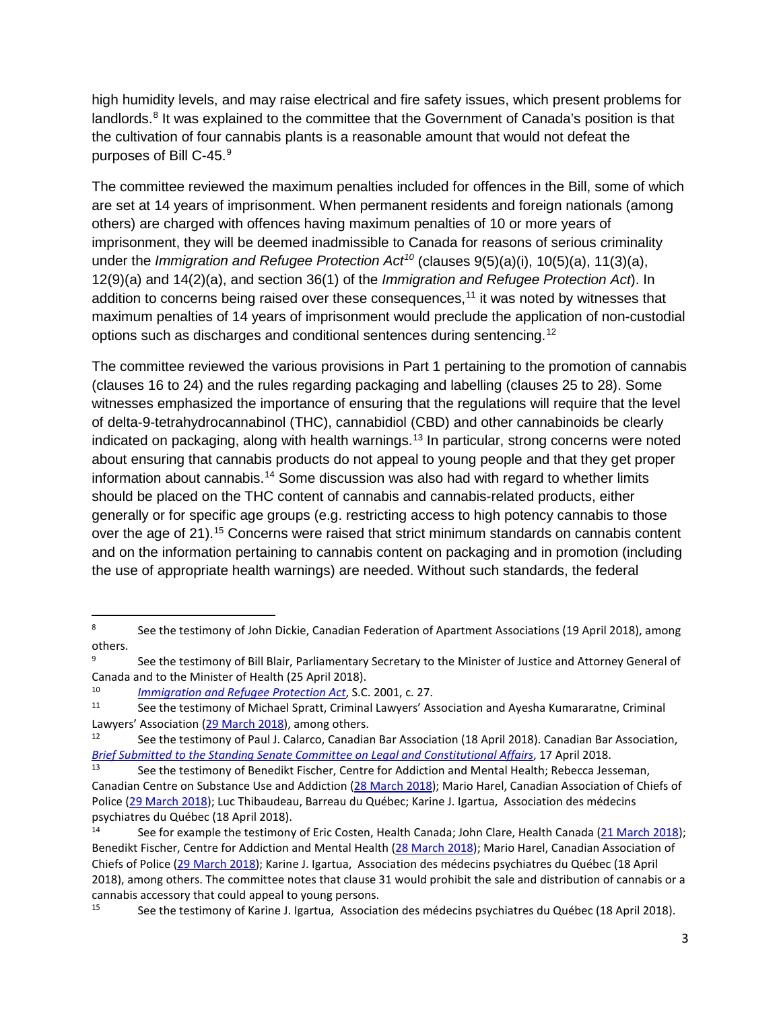high humidity levels, and may raise electrical and fire safety issues, which present problems for landlords.<sup>[8](#page-2-0)</sup> It was explained to the committee that the Government of Canada's position is that the cultivation of four cannabis plants is a reasonable amount that would not defeat the purposes of Bill C-45. [9](#page-2-1)

The committee reviewed the maximum penalties included for offences in the Bill, some of which are set at 14 years of imprisonment. When permanent residents and foreign nationals (among others) are charged with offences having maximum penalties of 10 or more years of imprisonment, they will be deemed inadmissible to Canada for reasons of serious criminality under the *Immigration and Refugee Protection Act[10](#page-2-2)* (clauses 9(5)(a)(i), 10(5)(a), 11(3)(a), 12(9)(a) and 14(2)(a), and section 36(1) of the *Immigration and Refugee Protection Act*). In addition to concerns being raised over these consequences, $11$  it was noted by witnesses that maximum penalties of 14 years of imprisonment would preclude the application of non-custodial options such as discharges and conditional sentences during sentencing.<sup>[12](#page-2-4)</sup>

The committee reviewed the various provisions in Part 1 pertaining to the promotion of cannabis (clauses 16 to 24) and the rules regarding packaging and labelling (clauses 25 to 28). Some witnesses emphasized the importance of ensuring that the regulations will require that the level of delta-9-tetrahydrocannabinol (THC), cannabidiol (CBD) and other cannabinoids be clearly indicated on packaging, along with health warnings. [13](#page-2-5) In particular, strong concerns were noted about ensuring that cannabis products do not appeal to young people and that they get proper information about cannabis. [14](#page-2-6) Some discussion was also had with regard to whether limits should be placed on the THC content of cannabis and cannabis-related products, either generally or for specific age groups (e.g. restricting access to high potency cannabis to those over the age of 21).<sup>[15](#page-2-7)</sup> Concerns were raised that strict minimum standards on cannabis content and on the information pertaining to cannabis content on packaging and in promotion (including the use of appropriate health warnings) are needed. Without such standards, the federal

<span id="page-2-0"></span><sup>&</sup>lt;sup>8</sup> See the testimony of John Dickie, Canadian Federation of Apartment Associations (19 April 2018), among others.

<span id="page-2-1"></span>See the testimony of Bill Blair, Parliamentary Secretary to the Minister of Justice and Attorney General of Canada and to the Minister of Health (25 April 2018).

<span id="page-2-2"></span><sup>10</sup> *[Immigration and Refugee Protection Act](http://laws.justice.gc.ca/eng/acts/i-2.5/)*, S.C. 2001, c. 27.

<span id="page-2-3"></span>See the testimony of Michael Spratt, Criminal Lawyers' Association and Ayesha Kumararatne, Criminal Lawyers' Association [\(29 March 2018\)](https://sencanada.ca/en/Content/Sen/Committee/421/LCJC/53932-e), among others.

<span id="page-2-4"></span><sup>12</sup> See the testimony of Paul J. Calarco, Canadian Bar Association (18 April 2018). Canadian Bar Association, *[Brief Submitted to the Standing Senate Committee on Legal and Constitutional Affairs](https://sencanada.ca/content/sen/committee/421/LCJC/Briefs/2018-04-17-LCJC-CBA-Brief_e.pdf)*, 17 April 2018.

<span id="page-2-5"></span>See the testimony of Benedikt Fischer, Centre for Addiction and Mental Health; Rebecca Jesseman, Canadian Centre on Substance Use and Addiction [\(28 March 2018\)](https://sencanada.ca/en/Content/Sen/Committee/421/LCJC/53920-e); Mario Harel, Canadian Association of Chiefs of Police [\(29 March 2018\)](https://sencanada.ca/en/Content/Sen/Committee/421/LCJC/53932-e); Luc Thibaudeau, Barreau du Québec; Karine J. Igartua, Association des médecins psychiatres du Québec (18 April 2018).

<span id="page-2-6"></span>See for example the testimony of Eric Costen, Health Canada; John Clare, Health Canada [\(21 March 2018\)](https://sencanada.ca/en/Content/Sen/Committee/421/LCJC/53885-e); Benedikt Fischer, Centre for Addiction and Mental Health [\(28 March 2018\)](https://sencanada.ca/en/Content/Sen/Committee/421/LCJC/53920-e); Mario Harel, Canadian Association of Chiefs of Police [\(29 March 2018\)](https://sencanada.ca/en/Content/Sen/Committee/421/LCJC/53932-e); Karine J. Igartua, Association des médecins psychiatres du Québec (18 April 2018), among others. The committee notes that clause 31 would prohibit the sale and distribution of cannabis or a cannabis accessory that could appeal to young persons.

<span id="page-2-7"></span><sup>15</sup> See the testimony of Karine J. Igartua, Association des médecins psychiatres du Québec (18 April 2018).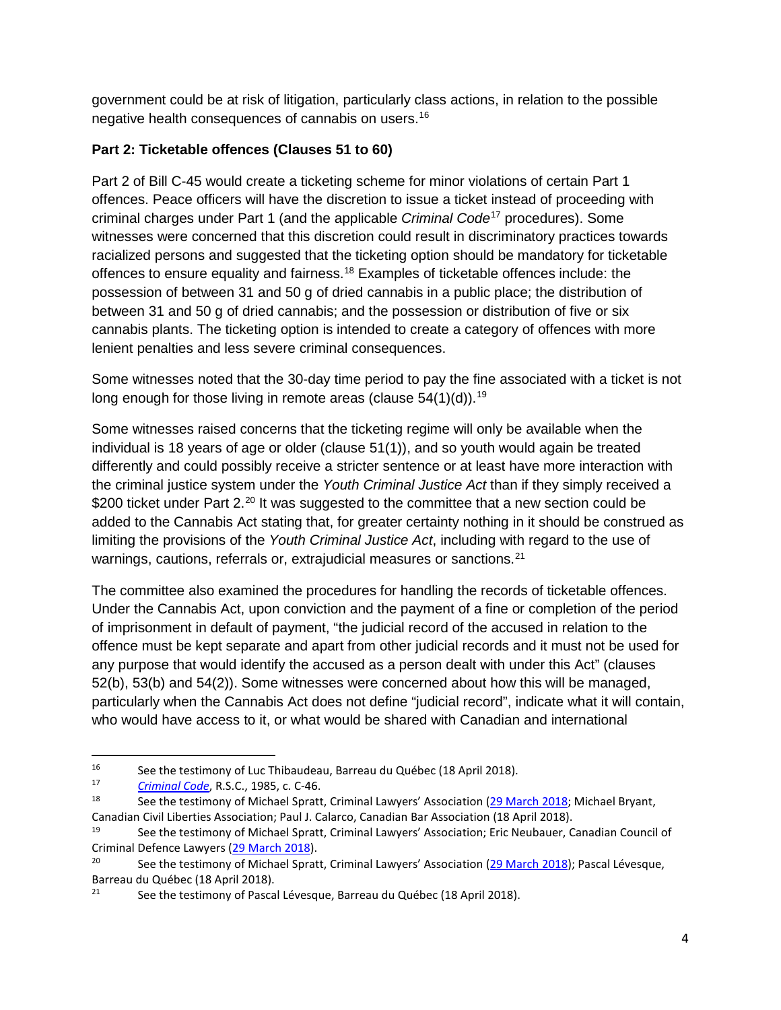government could be at risk of litigation, particularly class actions, in relation to the possible negative health consequences of cannabis on users.[16](#page-3-0)

# **Part 2: Ticketable offences (Clauses 51 to 60)**

Part 2 of Bill C-45 would create a ticketing scheme for minor violations of certain Part 1 offences. Peace officers will have the discretion to issue a ticket instead of proceeding with criminal charges under Part 1 (and the applicable *Criminal Code*[17](#page-3-1) procedures). Some witnesses were concerned that this discretion could result in discriminatory practices towards racialized persons and suggested that the ticketing option should be mandatory for ticketable offences to ensure equality and fairness.<sup>[18](#page-3-2)</sup> Examples of ticketable offences include: the possession of between 31 and 50 g of dried cannabis in a public place; the distribution of between 31 and 50 g of dried cannabis; and the possession or distribution of five or six cannabis plants. The ticketing option is intended to create a category of offences with more lenient penalties and less severe criminal consequences.

Some witnesses noted that the 30-day time period to pay the fine associated with a ticket is not long enough for those living in remote areas (clause 54(1)(d)).<sup>[19](#page-3-3)</sup>

Some witnesses raised concerns that the ticketing regime will only be available when the individual is 18 years of age or older (clause 51(1)), and so youth would again be treated differently and could possibly receive a stricter sentence or at least have more interaction with the criminal justice system under the *Youth Criminal Justice Act* than if they simply received a \$[20](#page-3-4)0 ticket under Part 2.<sup>20</sup> It was suggested to the committee that a new section could be added to the Cannabis Act stating that, for greater certainty nothing in it should be construed as limiting the provisions of the *Youth Criminal Justice Act*, including with regard to the use of warnings, cautions, referrals or, extrajudicial measures or sanctions.<sup>[21](#page-3-5)</sup>

The committee also examined the procedures for handling the records of ticketable offences. Under the Cannabis Act, upon conviction and the payment of a fine or completion of the period of imprisonment in default of payment, "the judicial record of the accused in relation to the offence must be kept separate and apart from other judicial records and it must not be used for any purpose that would identify the accused as a person dealt with under this Act" (clauses 52(b), 53(b) and 54(2)). Some witnesses were concerned about how this will be managed, particularly when the Cannabis Act does not define "judicial record", indicate what it will contain, who would have access to it, or what would be shared with Canadian and international

<span id="page-3-0"></span><sup>&</sup>lt;sup>16</sup> See the testimony of Luc Thibaudeau, Barreau du Québec (18 April 2018).

<span id="page-3-1"></span><sup>&</sup>lt;sup>17</sup> *[Criminal Code](http://laws-lois.justice.gc.ca/eng/acts/C-46/)*, R.S.C., 1985, c. C-46.

<span id="page-3-2"></span>See the testimony of Michael Spratt, Criminal Lawyers' Association [\(29 March 2018;](https://sencanada.ca/en/Content/Sen/Committee/421/LCJC/53932-e) Michael Bryant, Canadian Civil Liberties Association; Paul J. Calarco, Canadian Bar Association (18 April 2018).

<span id="page-3-3"></span><sup>19</sup> See the testimony of Michael Spratt, Criminal Lawyers' Association; Eric Neubauer, Canadian Council of Criminal Defence Lawyers [\(29 March 2018\)](https://sencanada.ca/en/Content/Sen/Committee/421/LCJC/53932-e).

<span id="page-3-4"></span><sup>&</sup>lt;sup>20</sup> See the testimony of Michael Spratt, Criminal Lawyers' Association [\(29 March 2018\)](https://sencanada.ca/en/Content/Sen/Committee/421/LCJC/53932-e); Pascal Lévesque, Barreau du Québec (18 April 2018).<br><sup>21</sup> See the testimony of Pasca

<span id="page-3-5"></span>See the testimony of Pascal Lévesque, Barreau du Québec (18 April 2018).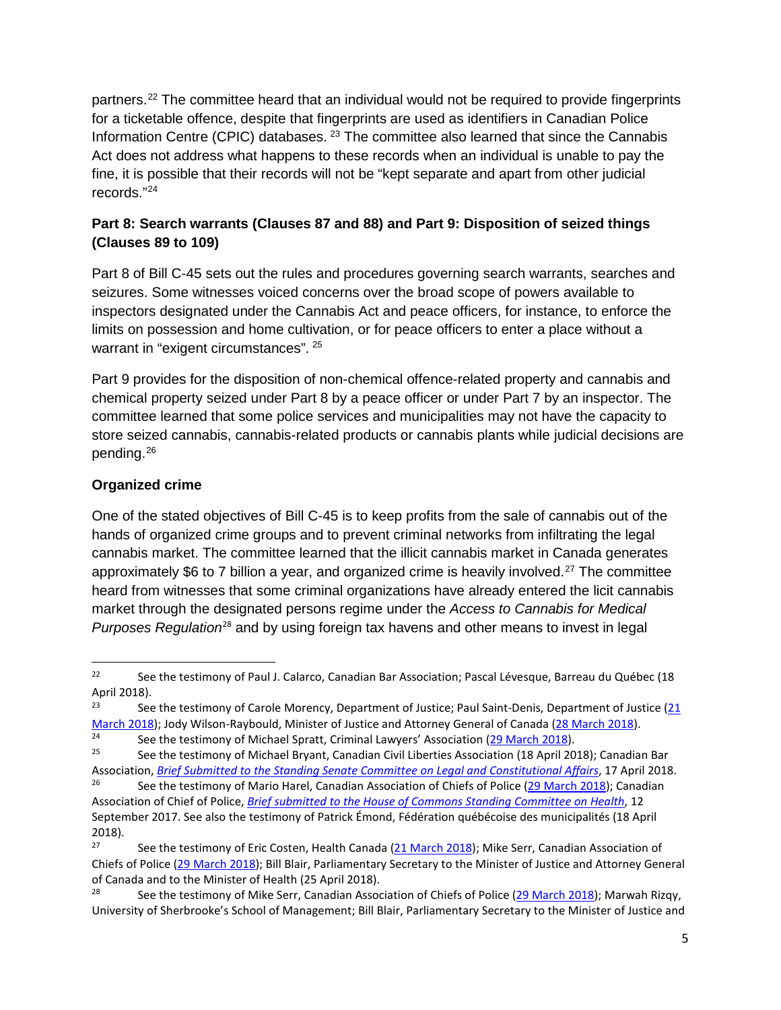partners.<sup>[22](#page-4-0)</sup> The committee heard that an individual would not be required to provide fingerprints for a ticketable offence, despite that fingerprints are used as identifiers in Canadian Police Information Centre (CPIC) databases. <sup>[23](#page-4-1)</sup> The committee also learned that since the Cannabis Act does not address what happens to these records when an individual is unable to pay the fine, it is possible that their records will not be "kept separate and apart from other judicial records."[24](#page-4-2)

# **Part 8: Search warrants (Clauses 87 and 88) and Part 9: Disposition of seized things (Clauses 89 to 109)**

Part 8 of Bill C-45 sets out the rules and procedures governing search warrants, searches and seizures. Some witnesses voiced concerns over the broad scope of powers available to inspectors designated under the Cannabis Act and peace officers, for instance, to enforce the limits on possession and home cultivation, or for peace officers to enter a place without a warrant in "exigent circumstances". <sup>[25](#page-4-3)</sup>

Part 9 provides for the disposition of non-chemical offence-related property and cannabis and chemical property seized under Part 8 by a peace officer or under Part 7 by an inspector. The committee learned that some police services and municipalities may not have the capacity to store seized cannabis, cannabis-related products or cannabis plants while judicial decisions are pending.<sup>[26](#page-4-4)</sup>

# **Organized crime**

One of the stated objectives of Bill C-45 is to keep profits from the sale of cannabis out of the hands of organized crime groups and to prevent criminal networks from infiltrating the legal cannabis market. The committee learned that the illicit cannabis market in Canada generates approximately \$6 to 7 billion a year, and organized crime is heavily involved.<sup>[27](#page-4-5)</sup> The committee heard from witnesses that some criminal organizations have already entered the licit cannabis market through the designated persons regime under the *Access to Cannabis for Medical Purposes Regulation*[28](#page-4-6) and by using foreign tax havens and other means to invest in legal

<span id="page-4-0"></span><sup>&</sup>lt;sup>22</sup> See the testimony of Paul J. Calarco, Canadian Bar Association; Pascal Lévesque, Barreau du Québec (18 April 2018).

<span id="page-4-1"></span><sup>&</sup>lt;sup>23</sup> See the testimony of Carole Morency, Department of Justice; Paul Saint-Denis, Department of Justice ( $\frac{21}{2}$ [March 2018\)](https://sencanada.ca/en/Content/Sen/Committee/421/LCJC/53885-e); Jody Wilson-Raybould, Minister of Justice and Attorney General of Canada [\(28 March 2018\)](https://sencanada.ca/en/Content/Sen/Committee/421/LCJC/53920-e).

<span id="page-4-2"></span><sup>&</sup>lt;sup>24</sup> See the testimony of Michael Spratt, Criminal Lawyers' Association (2<u>9 March 2018</u>).<br><sup>25</sup> See the testimony of Michael Bryant, Canadian Civil Liberties Association (18 April 20

<span id="page-4-3"></span>See the testimony of Michael Bryant, Canadian Civil Liberties Association (18 April 2018); Canadian Bar Association, *[Brief Submitted to the Standing Senate Committee on Legal and Constitutional Affairs](https://sencanada.ca/content/sen/committee/421/LCJC/Briefs/2018-04-17-LCJC-CBA-Brief_e.pdf)*, 17 April 2018.

<span id="page-4-4"></span>See the testimony of Mario Harel, Canadian Association of Chiefs of Police [\(29 March 2018\)](https://sencanada.ca/en/Content/Sen/Committee/421/LCJC/53932-e); Canadian Association of Chief of Police, *[Brief submitted to the House of Commons Standing Committee on Health](http://www.ourcommons.ca/Content/Committee/421/HESA/Brief/BR9075897/br-external/CanadianAssociationOfChiefOfPolice-e.pdf)*, 12 September 2017. See also the testimony of Patrick Émond, Fédération québécoise des municipalités (18 April 2018).<br>27

<span id="page-4-5"></span>See the testimony of Eric Costen, Health Canada [\(21 March 2018\)](https://sencanada.ca/en/Content/Sen/Committee/421/LCJC/53885-e); Mike Serr, Canadian Association of Chiefs of Police [\(29 March 2018\)](https://sencanada.ca/en/Content/Sen/Committee/421/LCJC/53932-e); Bill Blair, Parliamentary Secretary to the Minister of Justice and Attorney General of Canada and to the Minister of Health (25 April 2018).<br><sup>28</sup> See the testimony of Mike Serr, Canadian Assoc

<span id="page-4-6"></span>See the testimony of Mike Serr, Canadian Association of Chiefs of Police [\(29 March 2018\)](https://sencanada.ca/en/Content/Sen/Committee/421/LCJC/53932-e); Marwah Rizqy, University of Sherbrooke's School of Management; Bill Blair, Parliamentary Secretary to the Minister of Justice and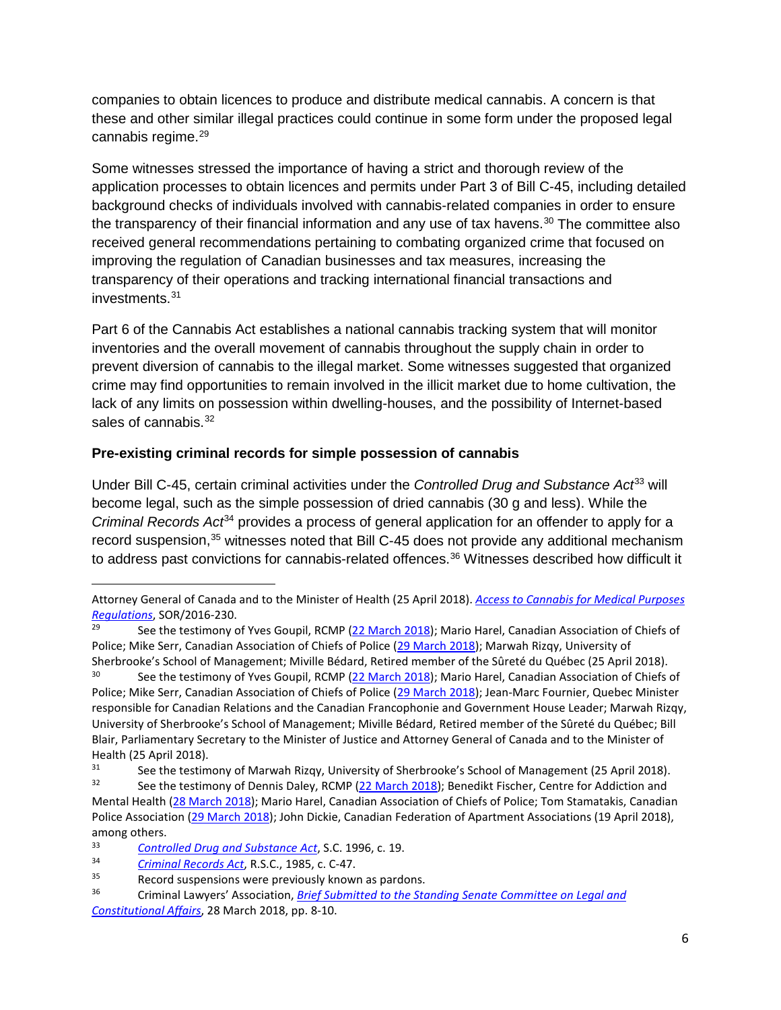companies to obtain licences to produce and distribute medical cannabis. A concern is that these and other similar illegal practices could continue in some form under the proposed legal cannabis regime.<sup>[29](#page-5-0)</sup>

Some witnesses stressed the importance of having a strict and thorough review of the application processes to obtain licences and permits under Part 3 of Bill C-45, including detailed background checks of individuals involved with cannabis-related companies in order to ensure the transparency of their financial information and any use of tax havens.<sup>[30](#page-5-1)</sup> The committee also received general recommendations pertaining to combating organized crime that focused on improving the regulation of Canadian businesses and tax measures, increasing the transparency of their operations and tracking international financial transactions and investments.[31](#page-5-2)

Part 6 of the Cannabis Act establishes a national cannabis tracking system that will monitor inventories and the overall movement of cannabis throughout the supply chain in order to prevent diversion of cannabis to the illegal market. Some witnesses suggested that organized crime may find opportunities to remain involved in the illicit market due to home cultivation, the lack of any limits on possession within dwelling-houses, and the possibility of Internet-based sales of cannabis.<sup>[32](#page-5-3)</sup>

## **Pre-existing criminal records for simple possession of cannabis**

Under Bill C-45, certain criminal activities under the *Controlled Drug and Substance Act*<sup>[33](#page-5-4)</sup> will become legal, such as the simple possession of dried cannabis (30 g and less). While the *Criminal Records Act*[34](#page-5-5) provides a process of general application for an offender to apply for a record suspension,<sup>[35](#page-5-6)</sup> witnesses noted that Bill C-45 does not provide any additional mechanism to address past convictions for cannabis-related offences. [36](#page-5-7) Witnesses described how difficult it

l

Attorney General of Canada and to the Minister of Health (25 April 2018). *[Access to Cannabis for Medical Purposes](http://laws.justice.gc.ca/eng/regulations/SOR-2016-230/FullText.html)  [Regulations](http://laws.justice.gc.ca/eng/regulations/SOR-2016-230/FullText.html)*, SOR/2016-230.

<span id="page-5-0"></span><sup>&</sup>lt;sup>29</sup> See the testimony of Yves Goupil, RCMP [\(22 March 2018\)](https://sencanada.ca/en/Content/Sen/Committee/421/LCJC/53895-e); Mario Harel, Canadian Association of Chiefs of Police; Mike Serr, Canadian Association of Chiefs of Police [\(29 March 2018\)](https://sencanada.ca/en/Content/Sen/Committee/421/LCJC/53932-e); Marwah Rizqy, University of Sherbrooke's School of Management; Miville Bédard, Retired member of the Sûreté du Québec (25 April 2018).

<span id="page-5-1"></span><sup>&</sup>lt;sup>30</sup> See the testimony of Yves Goupil, RCMP [\(22 March 2018\)](https://sencanada.ca/en/Content/Sen/Committee/421/LCJC/53895-e); Mario Harel, Canadian Association of Chiefs of Police; Mike Serr, Canadian Association of Chiefs of Police [\(29 March 2018\)](https://sencanada.ca/en/Content/Sen/Committee/421/LCJC/53932-e); Jean-Marc Fournier, Quebec Minister responsible for Canadian Relations and the Canadian Francophonie and Government House Leader; Marwah Rizqy, University of Sherbrooke's School of Management; Miville Bédard, Retired member of the Sûreté du Québec; Bill Blair, Parliamentary Secretary to the Minister of Justice and Attorney General of Canada and to the Minister of Health (25 April 2018).

<span id="page-5-2"></span><sup>&</sup>lt;sup>31</sup> See the testimony of Marwah Rizqy, University of Sherbrooke's School of Management (25 April 2018).<br><sup>32</sup> See the testimony of Donnic Daloy, BCMB (22 March 2018): Bonadikt Eiccher, Contre for Addiction and

<span id="page-5-3"></span>See the testimony of Dennis Daley, RCMP [\(22 March 2018\)](https://sencanada.ca/en/Content/Sen/Committee/421/LCJC/53895-e); Benedikt Fischer, Centre for Addiction and Mental Health [\(28 March 2018\)](https://sencanada.ca/en/Content/Sen/Committee/421/LCJC/53920-e); Mario Harel, Canadian Association of Chiefs of Police; Tom Stamatakis, Canadian Police Association [\(29 March 2018\)](https://sencanada.ca/en/Content/Sen/Committee/421/LCJC/53932-e); John Dickie, Canadian Federation of Apartment Associations (19 April 2018), among others.

<span id="page-5-4"></span><sup>33</sup> *Controlled Drug [and Substance Act](http://laws-lois.justice.gc.ca/eng/acts/C-38.8/)*, S.C. 1996, c. 19.

<span id="page-5-5"></span><sup>34</sup> *[Criminal Records Act](http://laws-lois.justice.gc.ca/eng/acts/C-47/)*, R.S.C., 1985, c. C-47.

<span id="page-5-6"></span> $35$  Record suspensions were previously known as pardons.<br> $36$  Criminal Lawyers' Association *Brief Submitted to the Sto* 

<span id="page-5-7"></span><sup>36</sup> Criminal Lawyers' Association, *[Brief Submitted to the Standing Senate Committee on Legal and](https://sencanada.ca/content/sen/committee/421/LCJC/Briefs/2018-03-29-CLA_C-45_Submissions_e.pdf)  [Constitutional Affairs](https://sencanada.ca/content/sen/committee/421/LCJC/Briefs/2018-03-29-CLA_C-45_Submissions_e.pdf)*, 28 March 2018, pp. 8-10.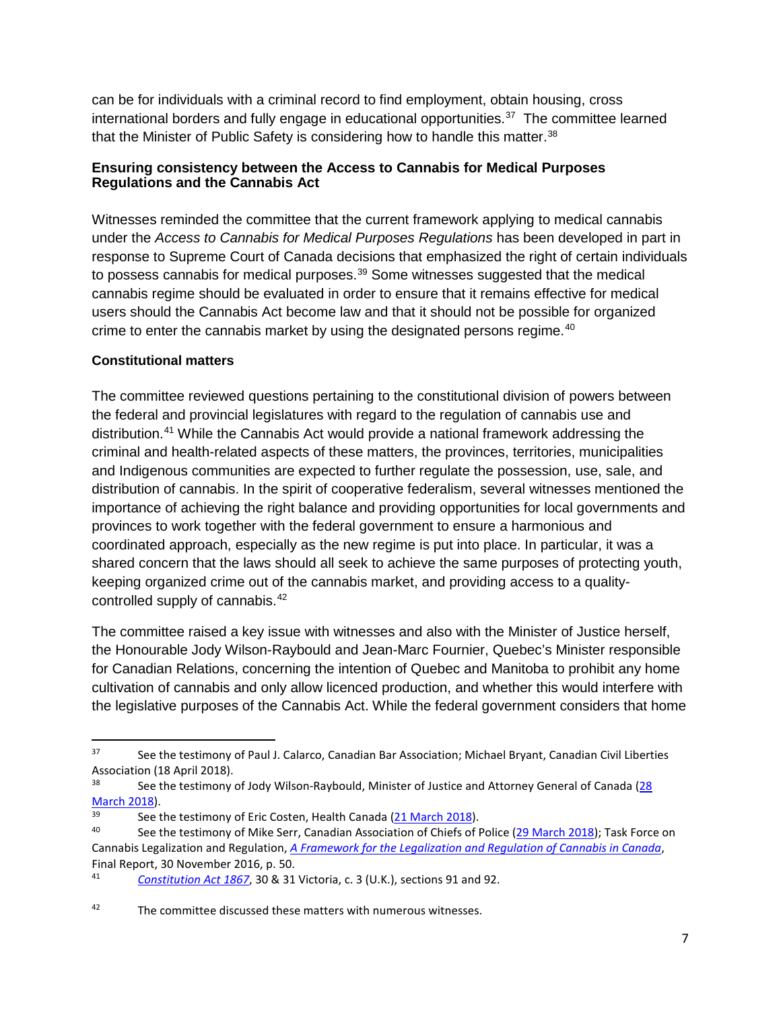can be for individuals with a criminal record to find employment, obtain housing, cross international borders and fully engage in educational opportunities. $37$  The committee learned that the Minister of Public Safety is considering how to handle this matter.<sup>[38](#page-6-1)</sup>

### **Ensuring consistency between the Access to Cannabis for Medical Purposes Regulations and the Cannabis Act**

Witnesses reminded the committee that the current framework applying to medical cannabis under the *Access to Cannabis for Medical Purposes Regulations* has been developed in part in response to Supreme Court of Canada decisions that emphasized the right of certain individuals to possess cannabis for medical purposes.<sup>[39](#page-6-2)</sup> Some witnesses suggested that the medical cannabis regime should be evaluated in order to ensure that it remains effective for medical users should the Cannabis Act become law and that it should not be possible for organized crime to enter the cannabis market by using the designated persons regime.<sup>[40](#page-6-3)</sup>

### **Constitutional matters**

The committee reviewed questions pertaining to the constitutional division of powers between the federal and provincial legislatures with regard to the regulation of cannabis use and distribution.[41](#page-6-4) While the Cannabis Act would provide a national framework addressing the criminal and health-related aspects of these matters, the provinces, territories, municipalities and Indigenous communities are expected to further regulate the possession, use, sale, and distribution of cannabis. In the spirit of cooperative federalism, several witnesses mentioned the importance of achieving the right balance and providing opportunities for local governments and provinces to work together with the federal government to ensure a harmonious and coordinated approach, especially as the new regime is put into place. In particular, it was a shared concern that the laws should all seek to achieve the same purposes of protecting youth, keeping organized crime out of the cannabis market, and providing access to a qualitycontrolled supply of cannabis. [42](#page-6-5)

The committee raised a key issue with witnesses and also with the Minister of Justice herself, the Honourable Jody Wilson-Raybould and Jean-Marc Fournier, Quebec's Minister responsible for Canadian Relations, concerning the intention of Quebec and Manitoba to prohibit any home cultivation of cannabis and only allow licenced production, and whether this would interfere with the legislative purposes of the Cannabis Act. While the federal government considers that home

<span id="page-6-0"></span><sup>&</sup>lt;sup>37</sup> See the testimony of Paul J. Calarco, Canadian Bar Association; Michael Bryant, Canadian Civil Liberties Association (18 April 2018).

<span id="page-6-1"></span>See the testimony of Jody Wilson-Raybould, Minister of Justice and Attorney General of Canada (28 [March 2018\)](https://sencanada.ca/en/Content/Sen/Committee/421/LCJC/53920-e).

<span id="page-6-2"></span><sup>&</sup>lt;sup>39</sup> See the testimony of Eric Costen, Health Canada  $(21$  March 2018).

<span id="page-6-3"></span>See the testimony of Mike Serr, Canadian Association of Chiefs of Police [\(29 March 2018\)](https://sencanada.ca/en/Content/Sen/Committee/421/LCJC/53932-e); Task Force on Cannabis Legalization and Regulation, *[A Framework for the Legalization and Regulation of Cannabis in Canada](https://www.canada.ca/content/dam/hc-sc/healthy-canadians/migration/task-force-marijuana-groupe-etude/framework-cadre/alt/framework-cadre-eng.pdf)*, Final Report, 30 November 2016, p. 50.

<span id="page-6-4"></span><sup>41</sup> *[Constitution Act 1867](http://laws-lois.justice.gc.ca/eng/Const/page-1.html)*, 30 & 31 Victoria, c. 3 (U.K.), sections 91 and 92.

<span id="page-6-5"></span><sup>42</sup> The committee discussed these matters with numerous witnesses.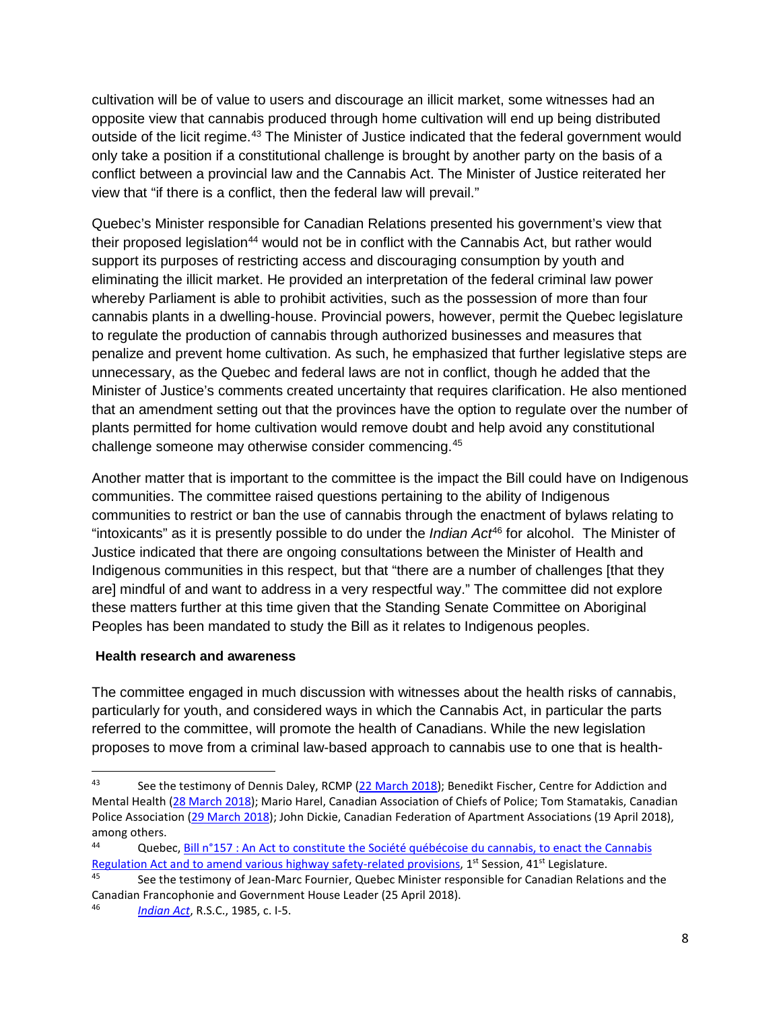cultivation will be of value to users and discourage an illicit market, some witnesses had an opposite view that cannabis produced through home cultivation will end up being distributed outside of the licit regime.<sup>[43](#page-7-0)</sup> The Minister of Justice indicated that the federal government would only take a position if a constitutional challenge is brought by another party on the basis of a conflict between a provincial law and the Cannabis Act. The Minister of Justice reiterated her view that "if there is a conflict, then the federal law will prevail."

Quebec's Minister responsible for Canadian Relations presented his government's view that their proposed legislation<sup>[44](#page-7-1)</sup> would not be in conflict with the Cannabis Act, but rather would support its purposes of restricting access and discouraging consumption by youth and eliminating the illicit market. He provided an interpretation of the federal criminal law power whereby Parliament is able to prohibit activities, such as the possession of more than four cannabis plants in a dwelling-house. Provincial powers, however, permit the Quebec legislature to regulate the production of cannabis through authorized businesses and measures that penalize and prevent home cultivation. As such, he emphasized that further legislative steps are unnecessary, as the Quebec and federal laws are not in conflict, though he added that the Minister of Justice's comments created uncertainty that requires clarification. He also mentioned that an amendment setting out that the provinces have the option to regulate over the number of plants permitted for home cultivation would remove doubt and help avoid any constitutional challenge someone may otherwise consider commencing.[45](#page-7-2)

Another matter that is important to the committee is the impact the Bill could have on Indigenous communities. The committee raised questions pertaining to the ability of Indigenous communities to restrict or ban the use of cannabis through the enactment of bylaws relating to "intoxicants" as it is presently possible to do under the *Indian Act*[46](#page-7-3) for alcohol. The Minister of Justice indicated that there are ongoing consultations between the Minister of Health and Indigenous communities in this respect, but that "there are a number of challenges [that they are] mindful of and want to address in a very respectful way." The committee did not explore these matters further at this time given that the Standing Senate Committee on Aboriginal Peoples has been mandated to study the Bill as it relates to Indigenous peoples.

### **Health research and awareness**

The committee engaged in much discussion with witnesses about the health risks of cannabis, particularly for youth, and considered ways in which the Cannabis Act, in particular the parts referred to the committee, will promote the health of Canadians. While the new legislation proposes to move from a criminal law-based approach to cannabis use to one that is health-

<span id="page-7-0"></span><sup>43</sup> See the testimony of Dennis Daley, RCMP [\(22 March 2018\)](https://sencanada.ca/en/Content/Sen/Committee/421/LCJC/53895-e); Benedikt Fischer, Centre for Addiction and Mental Health [\(28 March 2018\)](https://sencanada.ca/en/Content/Sen/Committee/421/LCJC/53920-e); Mario Harel, Canadian Association of Chiefs of Police; Tom Stamatakis, Canadian Police Association [\(29 March 2018\)](https://sencanada.ca/en/Content/Sen/Committee/421/LCJC/53932-e); John Dickie, Canadian Federation of Apartment Associations (19 April 2018), among others.

<span id="page-7-1"></span><sup>44</sup> Quebec, [Bill n°157 : An Act to constitute the Société québécoise du cannabis, to enact the Cannabis](http://www.assnat.qc.ca/en/travaux-parlementaires/projets-loi/projet-loi-157-41-1.html)  [Regulation Act and to amend various highway safety-related provisions,](http://www.assnat.qc.ca/en/travaux-parlementaires/projets-loi/projet-loi-157-41-1.html) 1<sup>st</sup> Session, 41<sup>st</sup> Legislature.

<span id="page-7-2"></span>See the testimony of Jean-Marc Fournier, Quebec Minister responsible for Canadian Relations and the Canadian Francophonie and Government House Leader (25 April 2018).

<span id="page-7-3"></span><sup>46</sup> *[Indian Act](http://laws-lois.justice.gc.ca/eng/acts/i-5/)*, R.S.C., 1985, c. I-5.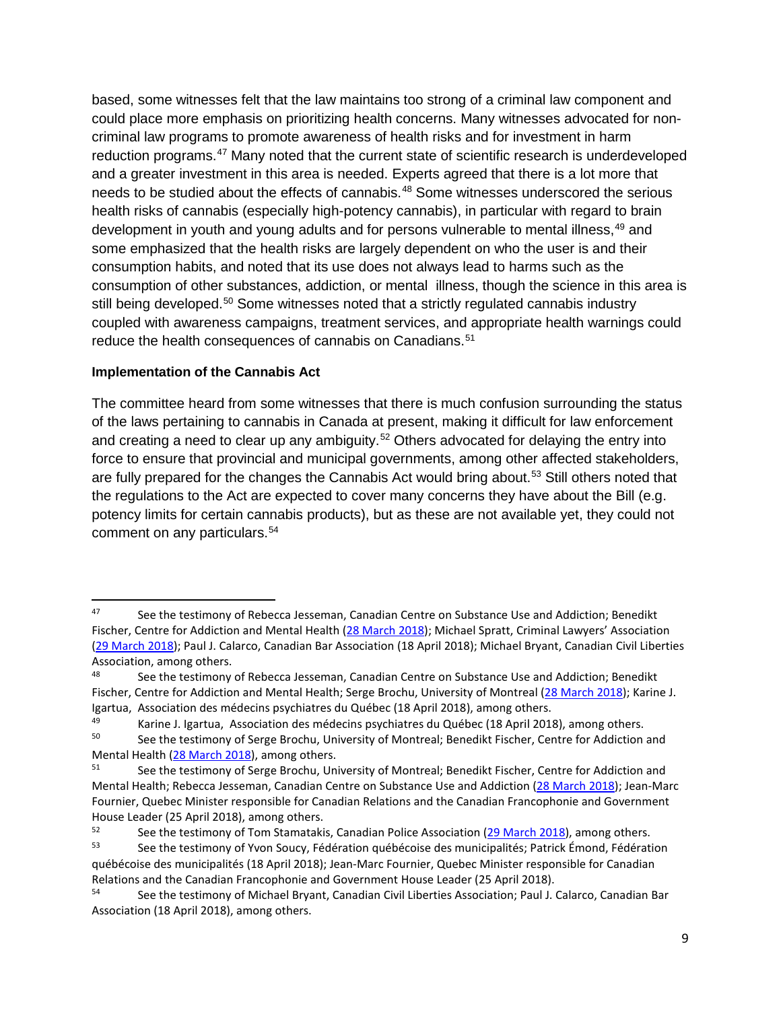based, some witnesses felt that the law maintains too strong of a criminal law component and could place more emphasis on prioritizing health concerns. Many witnesses advocated for noncriminal law programs to promote awareness of health risks and for investment in harm reduction programs.[47](#page-8-0) Many noted that the current state of scientific research is underdeveloped and a greater investment in this area is needed. Experts agreed that there is a lot more that needs to be studied about the effects of cannabis. [48](#page-8-1) Some witnesses underscored the serious health risks of cannabis (especially high-potency cannabis), in particular with regard to brain development in youth and young adults and for persons vulnerable to mental illness, <sup>[49](#page-8-2)</sup> and some emphasized that the health risks are largely dependent on who the user is and their consumption habits, and noted that its use does not always lead to harms such as the consumption of other substances, addiction, or mental illness, though the science in this area is still being developed.<sup>[50](#page-8-3)</sup> Some witnesses noted that a strictly regulated cannabis industry coupled with awareness campaigns, treatment services, and appropriate health warnings could reduce the health consequences of cannabis on Canadians.<sup>[51](#page-8-4)</sup>

### **Implementation of the Cannabis Act**

The committee heard from some witnesses that there is much confusion surrounding the status of the laws pertaining to cannabis in Canada at present, making it difficult for law enforcement and creating a need to clear up any ambiguity.<sup>[52](#page-8-5)</sup> Others advocated for delaying the entry into force to ensure that provincial and municipal governments, among other affected stakeholders, are fully prepared for the changes the Cannabis Act would bring about.<sup>[53](#page-8-6)</sup> Still others noted that the regulations to the Act are expected to cover many concerns they have about the Bill (e.g. potency limits for certain cannabis products), but as these are not available yet, they could not comment on any particulars.<sup>[54](#page-8-7)</sup>

<span id="page-8-2"></span>Karine J. Igartua, Association des médecins psychiatres du Québec (18 April 2018), among others.<br><sup>50</sup> See the testimony of Serge Brochu, University of Montreal: Benedikt Eischer, Centre for Addiction

<span id="page-8-0"></span><sup>47</sup> See the testimony of Rebecca Jesseman, Canadian Centre on Substance Use and Addiction; Benedikt Fischer, Centre for Addiction and Mental Health [\(28 March 2018\)](https://sencanada.ca/en/Content/Sen/Committee/421/LCJC/53920-e); Michael Spratt, Criminal Lawyers' Association [\(29 March 2018\)](https://sencanada.ca/en/Content/Sen/Committee/421/LCJC/53932-e); Paul J. Calarco, Canadian Bar Association (18 April 2018); Michael Bryant, Canadian Civil Liberties Association, among others.

<span id="page-8-1"></span><sup>48</sup> See the testimony of Rebecca Jesseman, Canadian Centre on Substance Use and Addiction; Benedikt Fischer, Centre for Addiction and Mental Health; Serge Brochu, University of Montreal [\(28 March 2018\)](https://sencanada.ca/en/Content/Sen/Committee/421/LCJC/53920-e); Karine J. Igartua, Association des médecins psychiatres du Québec (18 April 2018), among others.

<span id="page-8-3"></span>See the testimony of Serge Brochu, University of Montreal; Benedikt Fischer, Centre for Addiction and Mental Health [\(28 March 2018\)](https://sencanada.ca/en/Content/Sen/Committee/421/LCJC/53920-e), among others.

<span id="page-8-4"></span>See the testimony of Serge Brochu, University of Montreal; Benedikt Fischer, Centre for Addiction and Mental Health; Rebecca Jesseman, Canadian Centre on Substance Use and Addiction [\(28 March 2018\)](https://sencanada.ca/en/Content/Sen/Committee/421/LCJC/53920-e); Jean-Marc Fournier, Quebec Minister responsible for Canadian Relations and the Canadian Francophonie and Government House Leader (25 April 2018), among others.

<span id="page-8-5"></span><sup>52</sup> See the testimony of Tom Stamatakis, Canadian Police Association  $(29 \text{ March } 2018)$ , among others.<br>53 See the testimony of Yvon Soucy, Eédération québécoise des municipalités: Patrick Émond, Eédérati

<span id="page-8-6"></span>See the testimony of Yvon Soucy, Fédération québécoise des municipalités; Patrick Émond, Fédération québécoise des municipalités (18 April 2018); Jean-Marc Fournier, Quebec Minister responsible for Canadian Relations and the Canadian Francophonie and Government House Leader (25 April 2018).<br>See the testimony of Michael Bryant, Canadian Civil Liberties Association: Paul Li

<span id="page-8-7"></span>See the testimony of Michael Bryant, Canadian Civil Liberties Association; Paul J. Calarco, Canadian Bar Association (18 April 2018), among others.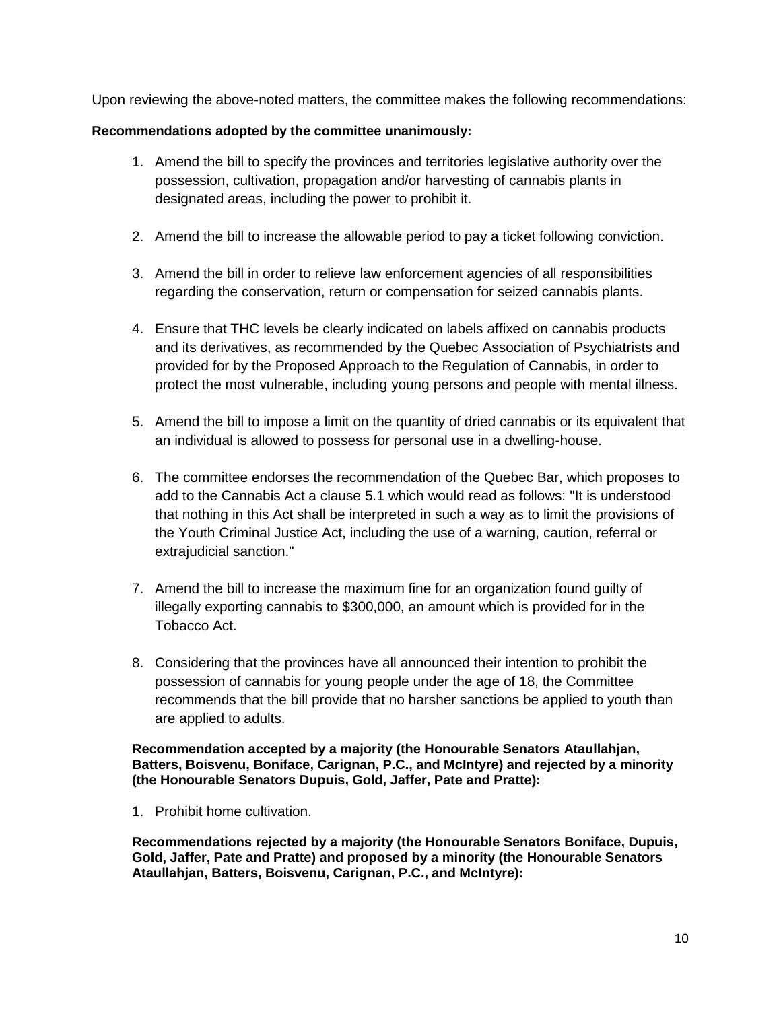Upon reviewing the above-noted matters, the committee makes the following recommendations:

### **Recommendations adopted by the committee unanimously:**

- 1. Amend the bill to specify the provinces and territories legislative authority over the possession, cultivation, propagation and/or harvesting of cannabis plants in designated areas, including the power to prohibit it.
- 2. Amend the bill to increase the allowable period to pay a ticket following conviction.
- 3. Amend the bill in order to relieve law enforcement agencies of all responsibilities regarding the conservation, return or compensation for seized cannabis plants.
- 4. Ensure that THC levels be clearly indicated on labels affixed on cannabis products and its derivatives, as recommended by the Quebec Association of Psychiatrists and provided for by the Proposed Approach to the Regulation of Cannabis, in order to protect the most vulnerable, including young persons and people with mental illness.
- 5. Amend the bill to impose a limit on the quantity of dried cannabis or its equivalent that an individual is allowed to possess for personal use in a dwelling-house.
- 6. The committee endorses the recommendation of the Quebec Bar, which proposes to add to the Cannabis Act a clause 5.1 which would read as follows: "It is understood that nothing in this Act shall be interpreted in such a way as to limit the provisions of the Youth Criminal Justice Act, including the use of a warning, caution, referral or extrajudicial sanction."
- 7. Amend the bill to increase the maximum fine for an organization found guilty of illegally exporting cannabis to \$300,000, an amount which is provided for in the Tobacco Act.
- 8. Considering that the provinces have all announced their intention to prohibit the possession of cannabis for young people under the age of 18, the Committee recommends that the bill provide that no harsher sanctions be applied to youth than are applied to adults.

**Recommendation accepted by a majority (the Honourable Senators Ataullahjan, Batters, Boisvenu, Boniface, Carignan, P.C., and McIntyre) and rejected by a minority (the Honourable Senators Dupuis, Gold, Jaffer, Pate and Pratte):**

1. Prohibit home cultivation.

**Recommendations rejected by a majority (the Honourable Senators Boniface, Dupuis, Gold, Jaffer, Pate and Pratte) and proposed by a minority (the Honourable Senators Ataullahjan, Batters, Boisvenu, Carignan, P.C., and McIntyre):**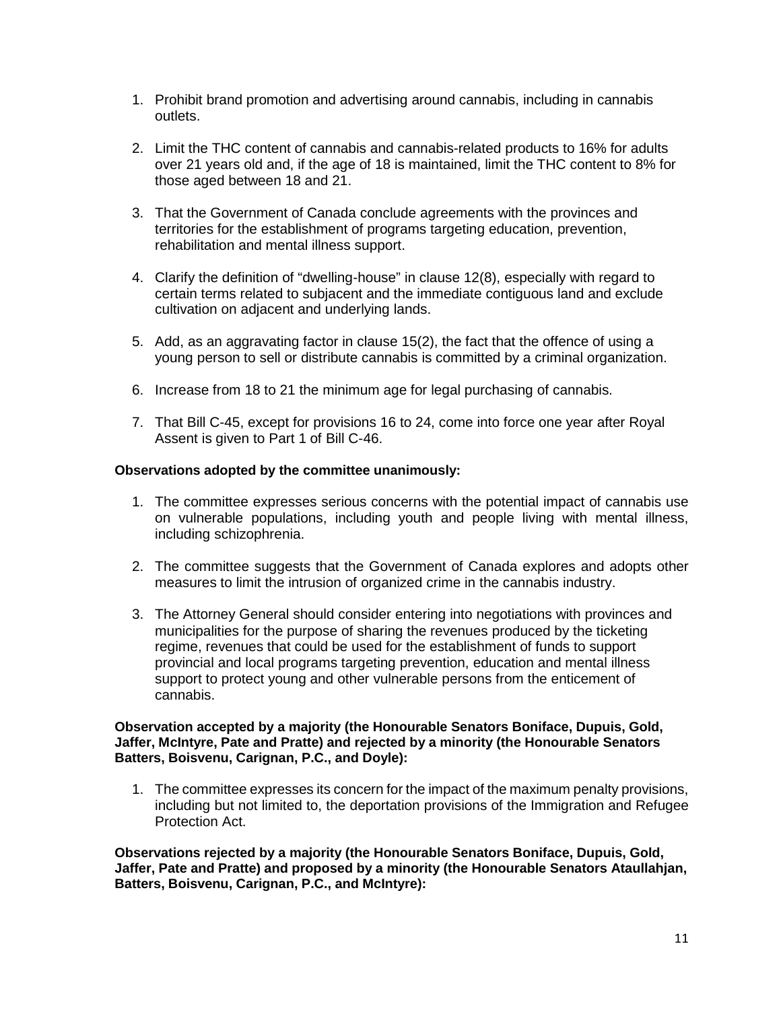- 1. Prohibit brand promotion and advertising around cannabis, including in cannabis outlets.
- 2. Limit the THC content of cannabis and cannabis-related products to 16% for adults over 21 years old and, if the age of 18 is maintained, limit the THC content to 8% for those aged between 18 and 21.
- 3. That the Government of Canada conclude agreements with the provinces and territories for the establishment of programs targeting education, prevention, rehabilitation and mental illness support.
- 4. Clarify the definition of "dwelling-house" in clause 12(8), especially with regard to certain terms related to subjacent and the immediate contiguous land and exclude cultivation on adjacent and underlying lands.
- 5. Add, as an aggravating factor in clause 15(2), the fact that the offence of using a young person to sell or distribute cannabis is committed by a criminal organization.
- 6. Increase from 18 to 21 the minimum age for legal purchasing of cannabis.
- 7. That Bill C-45, except for provisions 16 to 24, come into force one year after Royal Assent is given to Part 1 of Bill C-46.

#### **Observations adopted by the committee unanimously:**

- 1. The committee expresses serious concerns with the potential impact of cannabis use on vulnerable populations, including youth and people living with mental illness, including schizophrenia.
- 2. The committee suggests that the Government of Canada explores and adopts other measures to limit the intrusion of organized crime in the cannabis industry.
- 3. The Attorney General should consider entering into negotiations with provinces and municipalities for the purpose of sharing the revenues produced by the ticketing regime, revenues that could be used for the establishment of funds to support provincial and local programs targeting prevention, education and mental illness support to protect young and other vulnerable persons from the enticement of cannabis.

#### **Observation accepted by a majority (the Honourable Senators Boniface, Dupuis, Gold, Jaffer, McIntyre, Pate and Pratte) and rejected by a minority (the Honourable Senators Batters, Boisvenu, Carignan, P.C., and Doyle):**

1. The committee expresses its concern for the impact of the maximum penalty provisions, including but not limited to, the deportation provisions of the Immigration and Refugee Protection Act.

**Observations rejected by a majority (the Honourable Senators Boniface, Dupuis, Gold, Jaffer, Pate and Pratte) and proposed by a minority (the Honourable Senators Ataullahjan, Batters, Boisvenu, Carignan, P.C., and McIntyre):**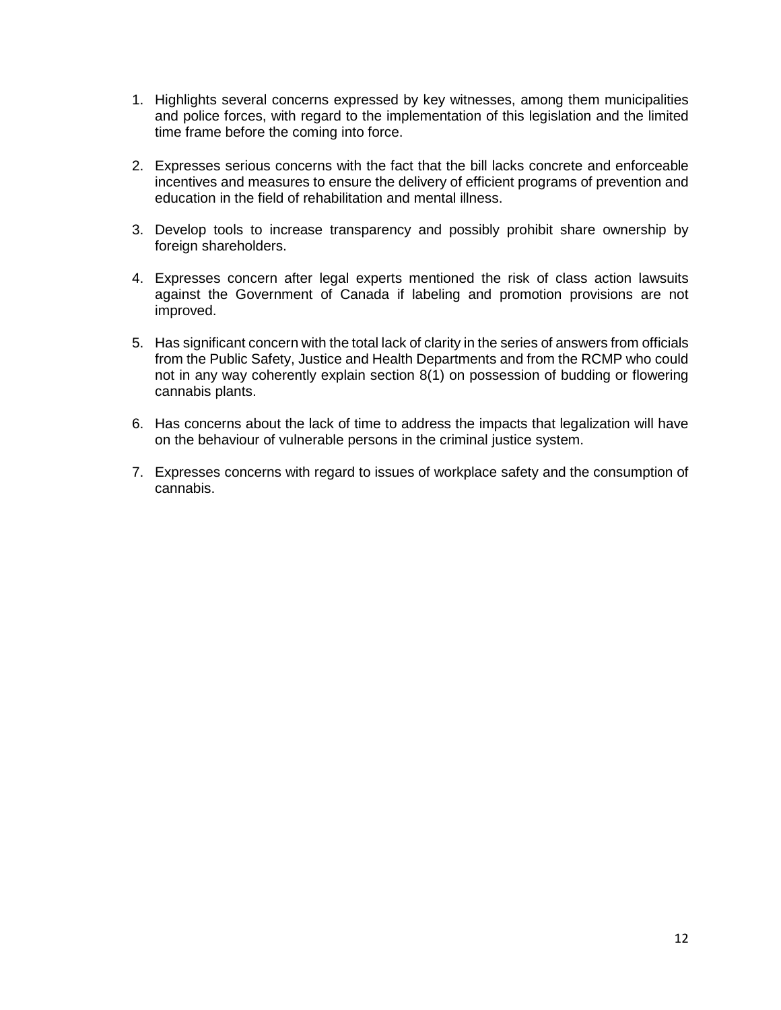- 1. Highlights several concerns expressed by key witnesses, among them municipalities and police forces, with regard to the implementation of this legislation and the limited time frame before the coming into force.
- 2. Expresses serious concerns with the fact that the bill lacks concrete and enforceable incentives and measures to ensure the delivery of efficient programs of prevention and education in the field of rehabilitation and mental illness.
- 3. Develop tools to increase transparency and possibly prohibit share ownership by foreign shareholders.
- 4. Expresses concern after legal experts mentioned the risk of class action lawsuits against the Government of Canada if labeling and promotion provisions are not improved.
- 5. Has significant concern with the total lack of clarity in the series of answers from officials from the Public Safety, Justice and Health Departments and from the RCMP who could not in any way coherently explain section 8(1) on possession of budding or flowering cannabis plants.
- 6. Has concerns about the lack of time to address the impacts that legalization will have on the behaviour of vulnerable persons in the criminal justice system.
- 7. Expresses concerns with regard to issues of workplace safety and the consumption of cannabis.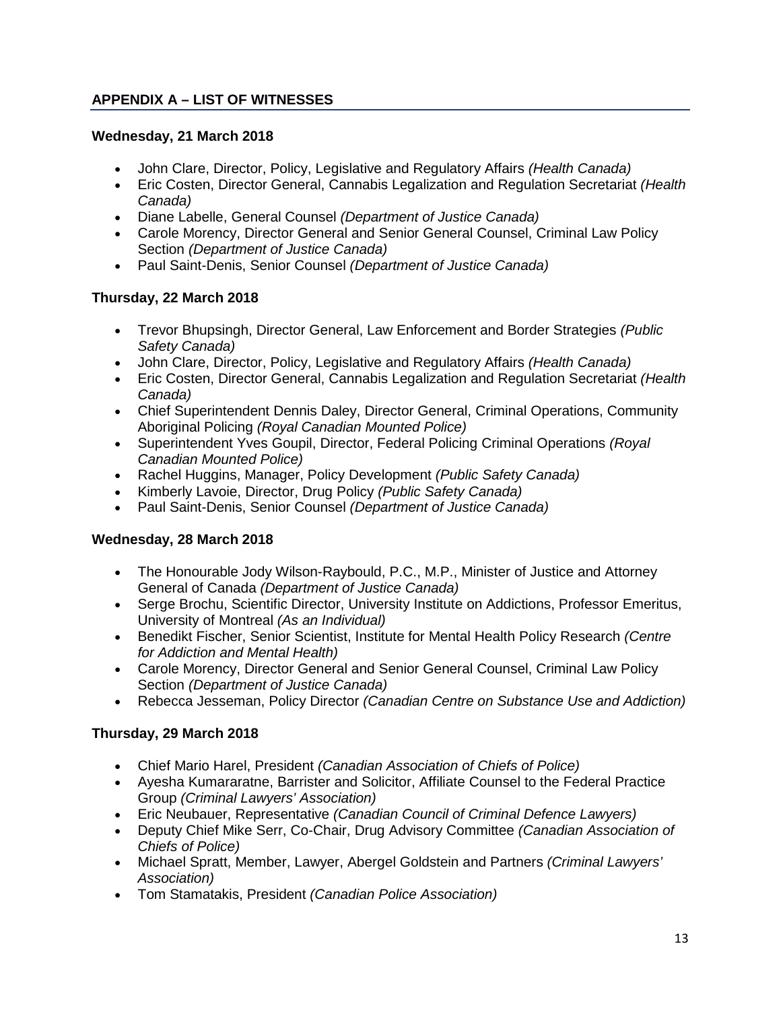## **APPENDIX A – LIST OF WITNESSES**

### **Wednesday, 21 March 2018**

- John Clare, Director, Policy, Legislative and Regulatory Affairs *(Health Canada)*
- Eric Costen, Director General, Cannabis Legalization and Regulation Secretariat *(Health Canada)*
- Diane Labelle, General Counsel *(Department of Justice Canada)*
- Carole Morency, Director General and Senior General Counsel, Criminal Law Policy Section *(Department of Justice Canada)*
- Paul Saint-Denis, Senior Counsel *(Department of Justice Canada)*

### **Thursday, 22 March 2018**

- Trevor Bhupsingh, Director General, Law Enforcement and Border Strategies *(Public Safety Canada)*
- John Clare, Director, Policy, Legislative and Regulatory Affairs *(Health Canada)*
- Eric Costen, Director General, Cannabis Legalization and Regulation Secretariat *(Health Canada)*
- Chief Superintendent Dennis Daley, Director General, Criminal Operations, Community Aboriginal Policing *(Royal Canadian Mounted Police)*
- Superintendent Yves Goupil, Director, Federal Policing Criminal Operations *(Royal Canadian Mounted Police)*
- Rachel Huggins, Manager, Policy Development *(Public Safety Canada)*
- Kimberly Lavoie, Director, Drug Policy *(Public Safety Canada)*
- Paul Saint-Denis, Senior Counsel *(Department of Justice Canada)*

### **Wednesday, 28 March 2018**

- The Honourable Jody Wilson-Raybould, P.C., M.P., Minister of Justice and Attorney General of Canada *(Department of Justice Canada)*
- Serge Brochu, Scientific Director, University Institute on Addictions, Professor Emeritus, University of Montreal *(As an Individual)*
- Benedikt Fischer, Senior Scientist, Institute for Mental Health Policy Research *(Centre for Addiction and Mental Health)*
- Carole Morency, Director General and Senior General Counsel, Criminal Law Policy Section *(Department of Justice Canada)*
- Rebecca Jesseman, Policy Director *(Canadian Centre on Substance Use and Addiction)*

### **Thursday, 29 March 2018**

- Chief Mario Harel, President *(Canadian Association of Chiefs of Police)*
- Ayesha Kumararatne, Barrister and Solicitor, Affiliate Counsel to the Federal Practice Group *(Criminal Lawyers' Association)*
- Eric Neubauer, Representative *(Canadian Council of Criminal Defence Lawyers)*
- Deputy Chief Mike Serr, Co-Chair, Drug Advisory Committee *(Canadian Association of Chiefs of Police)*
- Michael Spratt, Member, Lawyer, Abergel Goldstein and Partners *(Criminal Lawyers' Association)*
- Tom Stamatakis, President *(Canadian Police Association)*